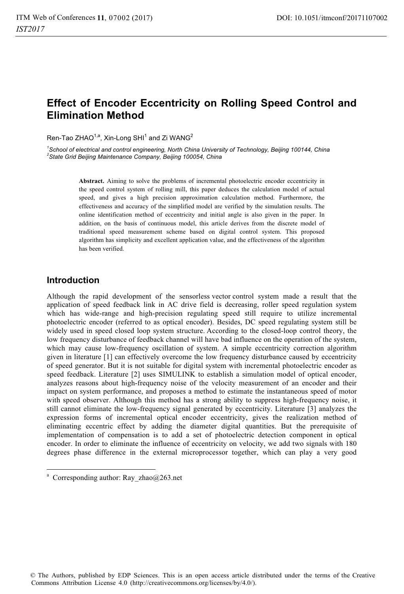# **Effect of Encoder Eccentricity on Rolling Speed Control and Elimination Method**

Ren-Tao ZHAO $^{1,a}$ , Xin-Long SHI $^1$  and Zi WANG $^2$ 

<sup>1</sup> School of electrical and control engineering, North China University of Technology, Beijing 100144, China <br><sup>2</sup> State Crid Beijing Meintenance Company, Beijing 100054, China *State Grid Beijing Maintenance Company, Beijing 100054, China* 

> **Abstract.** Aiming to solve the problems of incremental photoelectric encoder eccentricity in the speed control system of rolling mill, this paper deduces the calculation model of actual speed, and gives a high precision approximation calculation method. Furthermore, the effectiveness and accuracy of the simplified model are verified by the simulation results. The online identification method of eccentricity and initial angle is also given in the paper. In addition, on the basis of continuous model, this article derives from the discrete model of traditional speed measurement scheme based on digital control system. This proposed algorithm has simplicity and excellent application value, and the effectiveness of the algorithm has been verified.

#### **Introduction**

-----------------------------------

Although the rapid development of the sensorless vector control system made a result that the application of speed feedback link in AC drive field is decreasing, roller speed regulation system which has wide-range and high-precision regulating speed still require to utilize incremental photoelectric encoder (referred to as optical encoder). Besides, DC speed regulating system still be widely used in speed closed loop system structure. According to the closed-loop control theory, the low frequency disturbance of feedback channel will have bad influence on the operation of the system, which may cause low-frequency oscillation of system. A simple eccentricity correction algorithm given in literature [1] can effectively overcome the low frequency disturbance caused by eccentricity of speed generator. But it is not suitable for digital system with incremental photoelectric encoder as speed feedback. Literature [2] uses SIMULINK to establish a simulation model of optical encoder, analyzes reasons about high-frequency noise of the velocity measurement of an encoder and their impact on system performance, and proposes a method to estimate the instantaneous speed of motor with speed observer. Although this method has a strong ability to suppress high-frequency noise, it still cannot eliminate the low-frequency signal generated by eccentricity. Literature [3] analyzes the expression forms of incremental optical encoder eccentricity, gives the realization method of eliminating eccentric effect by adding the diameter digital quantities. But the prerequisite of implementation of compensation is to add a set of photoelectric detection component in optical encoder. In order to eliminate the influence of eccentricity on velocity, we add two signals with 180 degrees phase difference in the external microprocessor together, which can play a very good

--------------------

© The Authors, published by EDP Sciences. This is an open access article distributed under the terms of the Creative Commons Attribution License 4.0 (http://creativecommons.org/licenses/by/4.0/).

<sup>-</sup>---- -<sup>a</sup> Corresponding author: Ray\_zhao@263.net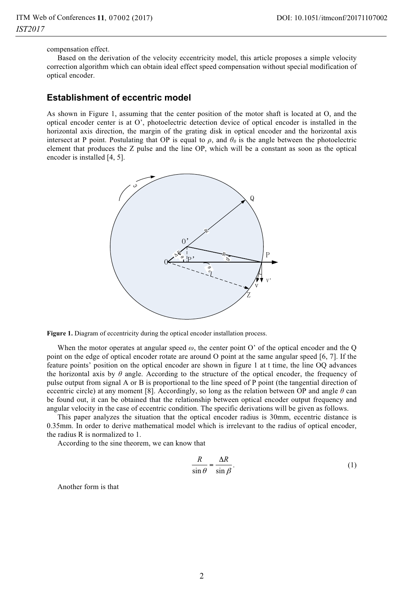compensation effect.

Based on the derivation of the velocity eccentricity model, this article proposes a simple velocity correction algorithm which can obtain ideal effect speed compensation without special modification of optical encoder.

#### **Establishment of eccentric model**

As shown in Figure 1, assuming that the center position of the motor shaft is located at O, and the optical encoder center is at O', photoelectric detection device of optical encoder is installed in the horizontal axis direction, the margin of the grating disk in optical encoder and the horizontal axis intersect at P point. Postulating that OP is equal to  $\rho$ , and  $\theta_0$  is the angle between the photoelectric element that produces the Z pulse and the line OP, which will be a constant as soon as the optical encoder is installed [4, 5].



Figure 1. Diagram of eccentricity during the optical encoder installation process.

When the motor operates at angular speed *ω*, the center point O' of the optical encoder and the Q point on the edge of optical encoder rotate are around O point at the same angular speed [6, 7]. If the feature points' position on the optical encoder are shown in figure 1 at t time, the line OQ advances the horizontal axis by  $\theta$  angle. According to the structure of the optical encoder, the frequency of pulse output from signal A or B is proportional to the line speed of P point (the tangential direction of eccentric circle) at any moment [8]. Accordingly, so long as the relation between OP and angle *θ* can be found out, it can be obtained that the relationship between optical encoder output frequency and angular velocity in the case of eccentric condition. The specific derivations will be given as follows.

This paper analyzes the situation that the optical encoder radius is 30mm, eccentric distance is 0.35mm. In order to derive mathematical model which is irrelevant to the radius of optical encoder, the radius R is normalized to 1.

According to the sine theorem, we can know that

$$
\frac{R}{\sin \theta} = \frac{\Delta R}{\sin \beta}.
$$
 (1)

Another form is that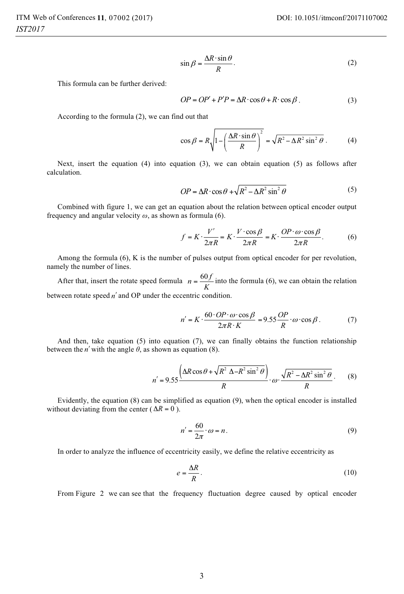$$
\sin \beta = \frac{\Delta R \cdot \sin \theta}{R}.
$$
 (2)

This formula can be further derived:

$$
OP = OP' + P'P = \Delta R \cdot \cos \theta + R \cdot \cos \beta. \tag{3}
$$

According to the formula (2), we can find out that

$$
\cos \beta = R \sqrt{1 - \left(\frac{\Delta R \cdot \sin \theta}{R}\right)^2} = \sqrt{R^2 - \Delta R^2 \sin^2 \theta} \,. \tag{4}
$$

Next, insert the equation (4) into equation (3), we can obtain equation (5) as follows after calculation.

$$
OP = \Delta R \cdot \cos \theta + \sqrt{R^2 - \Delta R^2 \sin^2 \theta} \tag{5}
$$

Combined with figure 1, we can get an equation about the relation between optical encoder output frequency and angular velocity *ω*, as shown as formula (6).

$$
f = K \cdot \frac{V'}{2\pi R} = K \cdot \frac{V \cdot \cos\beta}{2\pi R} = K \cdot \frac{OP \cdot \omega \cdot \cos\beta}{2\pi R}.
$$
 (6)

Among the formula (6), K is the number of pulses output from optical encoder for per revolution, namely the number of lines.

After that, insert the rotate speed formula  $n = \frac{60 f}{K}$  into the formula (6), we can obtain the relation between rotate speed *n*′ and OP under the eccentric condition.

$$
n' = K \cdot \frac{60 \cdot OP \cdot \omega \cdot \cos \beta}{2\pi R \cdot K} = 9.55 \frac{OP}{R} \cdot \omega \cdot \cos \beta. \tag{7}
$$

And then, take equation (5) into equation (7), we can finally obtains the function relationship between the *n'* with the angle  $\theta$ , as shown as equation (8).

$$
n' = 9.55 \frac{\left(\Delta R \cos \theta + \sqrt{R^2 \Delta - R^2 \sin^2 \theta}\right)}{R} \cdot \omega \cdot \frac{\sqrt{R^2 - \Delta R^2 \sin^2 \theta}}{R} \,. \tag{8}
$$

Evidently, the equation (8) can be simplified as equation (9), when the optical encoder is installed without deviating from the center ( $\Delta R = 0$ ).

$$
n' = \frac{60}{2\pi} \cdot \omega = n. \tag{9}
$$

In order to analyze the influence of eccentricity easily, we define the relative eccentricity as

$$
e = \frac{\Delta R}{R}.\tag{10}
$$

From Figure 2 we can see that the frequency fluctuation degree caused by optical encoder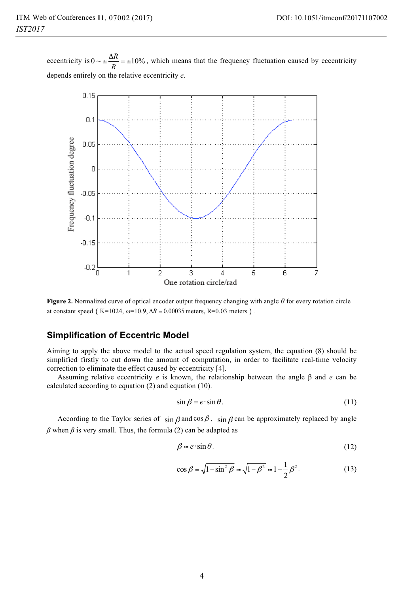eccentricity is  $0 \sim \pm \frac{\Delta R}{R} = \pm 10\%$ , which means that the frequency fluctuation caused by eccentricity depends entirely on the relative eccentricity *e*.



**Figure 2.** Normalized curve of optical encoder output frequency changing with angle *<sup>θ</sup>* for every rotation circle at constant speed (K=1024,  $\omega$ =10.9,  $\Delta R = 0.00035$  meters, R=0.03 meters).

## **Simplification of Eccentric Model**

Aiming to apply the above model to the actual speed regulation system, the equation (8) should be simplified firstly to cut down the amount of computation, in order to facilitate real-time velocity correction to eliminate the effect caused by eccentricity [4].

Assuming relative eccentricity *e* is known, the relationship between the angle β and *e* can be calculated according to equation (2) and equation (10).

$$
\sin \beta = e \cdot \sin \theta. \tag{11}
$$

According to the Taylor series of  $\sin \beta$  and  $\cos \beta$ ,  $\sin \beta$  can be approximately replaced by angle  $β$  when  $β$  is very small. Thus, the formula (2) can be adapted as

$$
\beta \approx e \cdot \sin \theta. \tag{12}
$$

$$
\cos \beta = \sqrt{1 - \sin^2 \beta} \approx \sqrt{1 - \beta^2} \approx 1 - \frac{1}{2} \beta^2.
$$
 (13)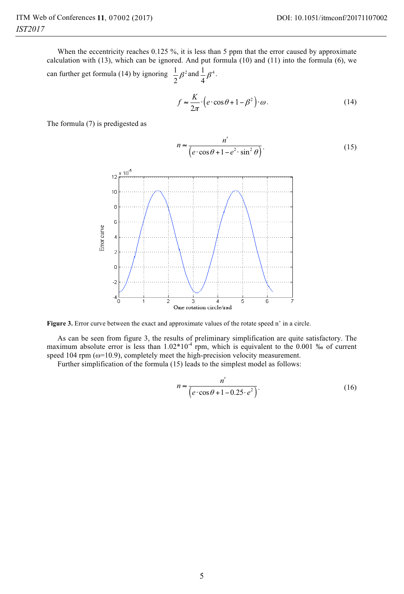When the eccentricity reaches 0.125 %, it is less than 5 ppm that the error caused by approximate calculation with (13), which can be ignored. And put formula (10) and (11) into the formula (6), we can further get formula (14) by ignoring  $\frac{1}{2} \beta^2$  $\frac{1}{2}\beta^2$  and  $\frac{1}{4}\beta^4$ .

$$
f \approx \frac{K}{2\pi} \cdot \left( e \cdot \cos \theta + 1 - \beta^2 \right) \cdot \omega. \tag{14}
$$

The formula (7) is predigested as

$$
n \approx \frac{n'}{\left(e \cdot \cos \theta + 1 - e^2 \cdot \sin^2 \theta\right)}.
$$
 (15)



Figure 3. Error curve between the exact and approximate values of the rotate speed n' in a circle.

As can be seen from figure 3, the results of preliminary simplification are quite satisfactory. The maximum absolute error is less than  $1.02*10^{-4}$  rpm, which is equivalent to the 0.001 ‰ of current speed 104 rpm (ω=10.9), completely meet the high-precision velocity measurement.

Further simplification of the formula (15) leads to the simplest model as follows:

$$
n \approx \frac{n'}{\left(e \cdot \cos \theta + 1 - 0.25 \cdot e^2\right)}.
$$
\n(16)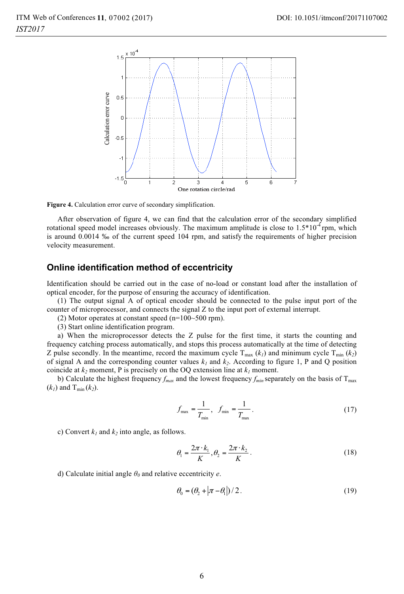

**Figure 4.** Calculation error curve of secondary simplification.

After observation of figure 4, we can find that the calculation error of the secondary simplified rotational speed model increases obviously. The maximum amplitude is close to  $1.5*10^{-4}$  rpm, which is around 0.0014 ‰ of the current speed 104 rpm, and satisfy the requirements of higher precision velocity measurement.

#### **Online identification method of eccentricity**

Identification should be carried out in the case of no-load or constant load after the installation of optical encoder, for the purpose of ensuring the accuracy of identification.

(1) The output signal A of optical encoder should be connected to the pulse input port of the counter of microprocessor, and connects the signal Z to the input port of external interrupt.

(2) Motor operates at constant speed  $(n=100-500$  rpm).

(3) Start online identification program.

a) When the microprocessor detects the Z pulse for the first time, it starts the counting and frequency catching process automatically, and stops this process automatically at the time of detecting Z pulse secondly. In the meantime, record the maximum cycle  $T_{\text{max}} (k_l)$  and minimum cycle  $T_{\text{min}} (k_2)$ of signal A and the corresponding counter values  $k_1$  and  $k_2$ . According to figure 1, P and Q position coincide at  $k_2$  moment, P is precisely on the OQ extension line at  $k_1$  moment.

b) Calculate the highest frequency  $f_{max}$  and the lowest frequency  $f_{min}$  separately on the basis of  $T_{max}$  $(k_1)$  and T<sub>min</sub>  $(k_2)$ .

$$
f_{\max} = \frac{1}{T_{\min}}, \quad f_{\min} = \frac{1}{T_{\max}}.
$$
 (17)

c) Convert  $k_1$  and  $k_2$  into angle, as follows.

$$
\theta_1 = \frac{2\pi \cdot k_1}{K}, \theta_2 = \frac{2\pi \cdot k_2}{K}.
$$
\n(18)

d) Calculate initial angle  $\theta_0$  and relative eccentricity *e*.

$$
\theta_0 = (\theta_2 + |\pi - \theta_1|)/2. \tag{19}
$$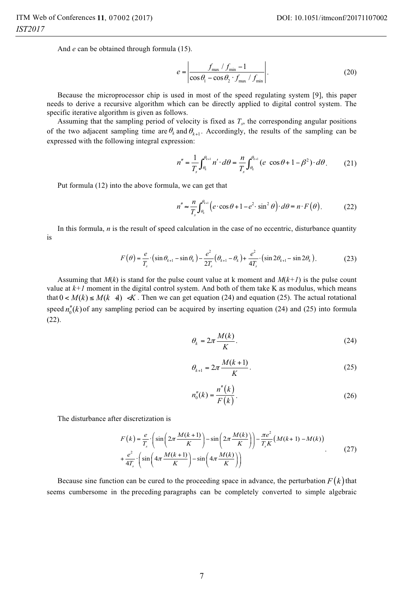And *e* can be obtained through formula (15).

$$
e = \left| \frac{f_{\text{max}} / f_{\text{min}} - 1}{\cos \theta_1 - \cos \theta_2 \cdot f_{\text{max}} / f_{\text{min}}} \right|.
$$
 (20)

Because the microprocessor chip is used in most of the speed regulating system [9], this paper needs to derive a recursive algorithm which can be directly applied to digital control system. The specific iterative algorithm is given as follows.

Assuming that the sampling period of velocity is fixed as *Ts*, the corresponding angular positions of the two adjacent sampling time are  $\theta_k$  and  $\theta_{k+1}$ . Accordingly, the results of the sampling can be expressed with the following integral expression:

$$
n'' = \frac{1}{T_s} \int_{\theta_k}^{\theta_{k+1}} n' \cdot d\theta = \frac{n}{T_s} \int_{\theta_k}^{\theta_{k+1}} (e \cos \theta + 1 - \beta^2) \cdot d\theta. \tag{21}
$$

Put formula (12) into the above formula, we can get that

$$
n'' \approx \frac{n}{T_s} \int_{\theta_k}^{\theta_{k+1}} \left( e \cdot \cos \theta + 1 - e^2 \cdot \sin^2 \theta \right) \cdot d\theta = n \cdot F\left(\theta\right). \tag{22}
$$

In this formula, *n* is the result of speed calculation in the case of no eccentric, disturbance quantity is

$$
F(\theta) = \frac{e}{T_s} \cdot (\sin \theta_{k+1} - \sin \theta_k) - \frac{e^2}{2T_s} (\theta_{k+1} - \theta_k) + \frac{e^2}{4T_s} \cdot (\sin 2\theta_{k+1} - \sin 2\theta_k).
$$
 (23)

Assuming that  $M(k)$  is stand for the pulse count value at k moment and  $M(k+1)$  is the pulse count value at  $k+1$  moment in the digital control system. And both of them take K as modulus, which means that  $0 < M(k) \le M(k+1) \ll K$ . Then we can get equation (24) and equation (25). The actual rotational speed  $n_0''(k)$  of any sampling period can be acquired by inserting equation (24) and (25) into formula (22).

$$
\theta_k = 2\pi \frac{M(k)}{K}.\tag{24}
$$

$$
\theta_{k+1} = 2\pi \frac{M(k+1)}{K}.
$$
 (25)

$$
n_0''(k) = \frac{n''(k)}{F(k)}.
$$
 (26)

The disturbance after discretization is

$$
F(k) = \frac{e}{T_s} \cdot \left( \sin\left(2\pi \frac{M(k+1)}{K}\right) - \sin\left(2\pi \frac{M(k)}{K}\right) \right) - \frac{\pi e^2}{T_s K} \left(M(k+1) - M(k)\right)
$$
  
+ 
$$
\frac{e^2}{4T_s} \cdot \left(\sin\left(4\pi \frac{M(k+1)}{K}\right) - \sin\left(4\pi \frac{M(k)}{K}\right)\right)
$$
 (27)

Because sine function can be cured to the proceeding space in advance, the perturbation  $F(k)$  that seems cumbersome in the preceding paragraphs can be completely converted to simple algebraic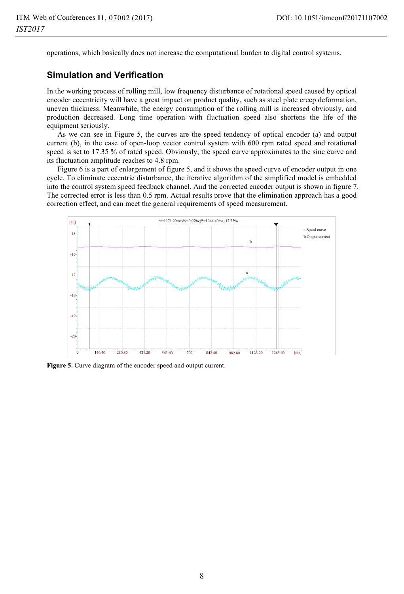operations, which basically does not increase the computational burden to digital control systems.

## **Simulation and Verification**

In the working process of rolling mill, low frequency disturbance of rotational speed caused by optical encoder eccentricity will have a great impact on product quality, such as steel plate creep deformation, uneven thickness. Meanwhile, the energy consumption of the rolling mill is increased obviously, and production decreased. Long time operation with fluctuation speed also shortens the life of the equipment seriously.

As we can see in Figure 5, the curves are the speed tendency of optical encoder (a) and output current (b), in the case of open-loop vector control system with 600 rpm rated speed and rotational speed is set to 17.35 % of rated speed. Obviously, the speed curve approximates to the sine curve and its fluctuation amplitude reaches to 4.8 rpm.

Figure 6 is a part of enlargement of figure 5, and it shows the speed curve of encoder output in one cycle. To eliminate eccentric disturbance, the iterative algorithm of the simplified model is embedded into the control system speed feedback channel. And the corrected encoder output is shown in figure 7. The corrected error is less than 0.5 rpm. Actual results prove that the elimination approach has a good correction effect, and can meet the general requirements of speed measurement.



**Figure 5.** Curve diagram of the encoder speed and output current.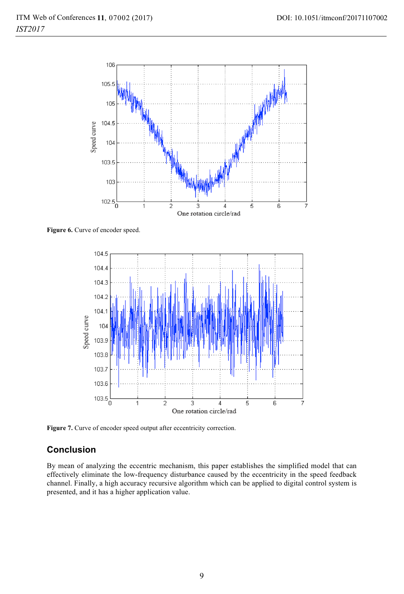

Figure 6. Curve of encoder speed.



**Figure 7.** Curve of encoder speed output after eccentricity correction.

## **Conclusion**

By mean of analyzing the eccentric mechanism, this paper establishes the simplified model that can effectively eliminate the low-frequency disturbance caused by the eccentricity in the speed feedback channel. Finally, a high accuracy recursive algorithm which can be applied to digital control system is presented, and it has a higher application value.